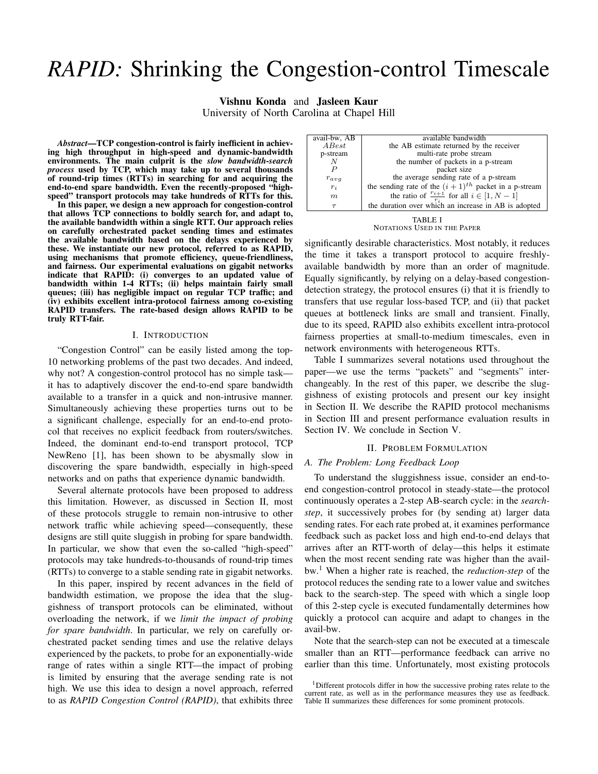# *RAPID:* Shrinking the Congestion-control Timescale

Vishnu Konda and Jasleen Kaur University of North Carolina at Chapel Hill

*Abstract*—TCP congestion-control is fairly inefficient in achieving high throughput in high-speed and dynamic-bandwidth environments. The main culprit is the *slow bandwidth-search process* used by TCP, which may take up to several thousands of round-trip times (RTTs) in searching for and acquiring the end-to-end spare bandwidth. Even the recently-proposed "highspeed" transport protocols may take hundreds of RTTs for this.

In this paper, we design a new approach for congestion-control that allows TCP connections to boldly search for, and adapt to, the available bandwidth within a single RTT. Our approach relies on carefully orchestrated packet sending times and estimates the available bandwidth based on the delays experienced by these. We instantiate our new protocol, referred to as RAPID, using mechanisms that promote efficiency, queue-friendliness, and fairness. Our experimental evaluations on gigabit networks indicate that RAPID: (i) converges to an updated value of bandwidth within 1-4 RTTs; (ii) helps maintain fairly small queues; (iii) has negligible impact on regular TCP traffic; and (iv) exhibits excellent intra-protocol fairness among co-existing RAPID transfers. The rate-based design allows RAPID to be truly RTT-fair.

# I. INTRODUCTION

"Congestion Control" can be easily listed among the top-10 networking problems of the past two decades. And indeed, why not? A congestion-control protocol has no simple task it has to adaptively discover the end-to-end spare bandwidth available to a transfer in a quick and non-intrusive manner. Simultaneously achieving these properties turns out to be a significant challenge, especially for an end-to-end protocol that receives no explicit feedback from routers/switches. Indeed, the dominant end-to-end transport protocol, TCP NewReno [1], has been shown to be abysmally slow in discovering the spare bandwidth, especially in high-speed networks and on paths that experience dynamic bandwidth.

Several alternate protocols have been proposed to address this limitation. However, as discussed in Section II, most of these protocols struggle to remain non-intrusive to other network traffic while achieving speed—consequently, these designs are still quite sluggish in probing for spare bandwidth. In particular, we show that even the so-called "high-speed" protocols may take hundreds-to-thousands of round-trip times (RTTs) to converge to a stable sending rate in gigabit networks.

In this paper, inspired by recent advances in the field of bandwidth estimation, we propose the idea that the sluggishness of transport protocols can be eliminated, without overloading the network, if we *limit the impact of probing for spare bandwidth*. In particular, we rely on carefully orchestrated packet sending times and use the relative delays experienced by the packets, to probe for an exponentially-wide range of rates within a single RTT—the impact of probing is limited by ensuring that the average sending rate is not high. We use this idea to design a novel approach, referred to as *RAPID Congestion Control (RAPID)*, that exhibits three

| avail-bw, AB | available bandwidth                                         |  |  |
|--------------|-------------------------------------------------------------|--|--|
| A Best       | the AB estimate returned by the receiver                    |  |  |
| p-stream     | multi-rate probe stream                                     |  |  |
|              | the number of packets in a p-stream                         |  |  |
|              | packet size                                                 |  |  |
| $r_{avg}$    | the average sending rate of a p-stream                      |  |  |
| $r_i$        | the sending rate of the $(i + 1)^{th}$ packet in a p-stream |  |  |
| m            | the ratio of $\frac{r_{i+1}}{r_i}$ for all $i \in [1, N-1]$ |  |  |
| $\tau$       | the duration over which an increase in AB is adopted        |  |  |
|              |                                                             |  |  |

NOTATIONS USED IN THE PAPER

significantly desirable characteristics. Most notably, it reduces the time it takes a transport protocol to acquire freshlyavailable bandwidth by more than an order of magnitude. Equally significantly, by relying on a delay-based congestiondetection strategy, the protocol ensures (i) that it is friendly to transfers that use regular loss-based TCP, and (ii) that packet queues at bottleneck links are small and transient. Finally, due to its speed, RAPID also exhibits excellent intra-protocol fairness properties at small-to-medium timescales, even in network environments with heterogeneous RTTs.

Table I summarizes several notations used throughout the paper—we use the terms "packets" and "segments" interchangeably. In the rest of this paper, we describe the sluggishness of existing protocols and present our key insight in Section II. We describe the RAPID protocol mechanisms in Section III and present performance evaluation results in Section IV. We conclude in Section V.

## II. PROBLEM FORMULATION

# *A. The Problem: Long Feedback Loop*

To understand the sluggishness issue, consider an end-toend congestion-control protocol in steady-state—the protocol continuously operates a 2-step AB-search cycle: in the *searchstep*, it successively probes for (by sending at) larger data sending rates. For each rate probed at, it examines performance feedback such as packet loss and high end-to-end delays that arrives after an RTT-worth of delay—this helps it estimate when the most recent sending rate was higher than the availbw.<sup>1</sup> When a higher rate is reached, the *reduction-step* of the protocol reduces the sending rate to a lower value and switches back to the search-step. The speed with which a single loop of this 2-step cycle is executed fundamentally determines how quickly a protocol can acquire and adapt to changes in the avail-bw.

Note that the search-step can not be executed at a timescale smaller than an RTT—performance feedback can arrive no earlier than this time. Unfortunately, most existing protocols

<sup>&</sup>lt;sup>1</sup>Different protocols differ in how the successive probing rates relate to the current rate, as well as in the performance measures they use as feedback. Table II summarizes these differences for some prominent protocols.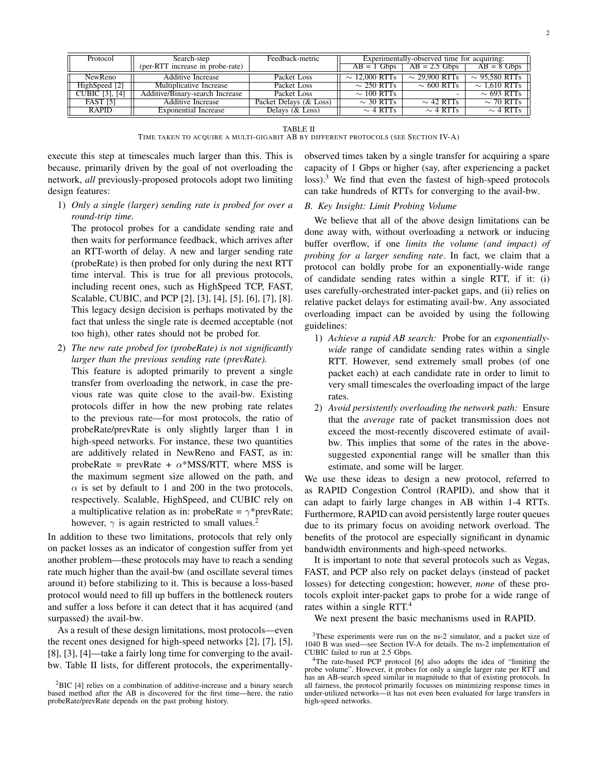| Protocol              | Search-step                      | Feedback-metric        |                    | Experimentally-observed time for acquiring: |                    |
|-----------------------|----------------------------------|------------------------|--------------------|---------------------------------------------|--------------------|
|                       | (per-RTT increase in probe-rate) |                        | $AB = 1$ Gbps      | $AB = 2.5$ Gbps                             | $AB = 8$ Gbps      |
| NewReno               | Additive Increase                | Packet Loss            | $\sim$ 12.000 RTTs | $\sim$ 29.900 RTTs                          | $\sim$ 95.580 RTTs |
| HighSpeed [2]         | Multiplicative Increase          | Packet Loss            | $\sim$ 250 RTTs    | $\sim$ 600 RTTs                             | $\sim$ 1.610 RTTs  |
| <b>CUBIC</b> [3], [4] | Additive/Binary-search Increase  | Packet Loss            | $\sim$ 100 RTTs    |                                             | $\sim$ 693 RTTs    |
| <b>FAST [5]</b>       | Additive Increase                | Packet Delays (& Loss) | $\sim$ 30 RTTs     | $\sim$ 42 RTTs                              | $\sim$ 70 RTTs     |
| <b>RAPID</b>          | Exponential Increase             | Delays $(\&$ Loss)     | $\sim$ 4 RTTs      | $\sim$ 4 RTTs                               | $\sim$ 4 RTTs      |

TABLE II

TIME TAKEN TO ACQUIRE A MULTI-GIGABIT AB BY DIFFERENT PROTOCOLS (SEE SECTION IV-A)

execute this step at timescales much larger than this. This is because, primarily driven by the goal of not overloading the network, *all* previously-proposed protocols adopt two limiting design features:

1) *Only a single (larger) sending rate is probed for over a round-trip time.*

The protocol probes for a candidate sending rate and then waits for performance feedback, which arrives after an RTT-worth of delay. A new and larger sending rate (probeRate) is then probed for only during the next RTT time interval. This is true for all previous protocols, including recent ones, such as HighSpeed TCP, FAST, Scalable, CUBIC, and PCP [2], [3], [4], [5], [6], [7], [8]. This legacy design decision is perhaps motivated by the fact that unless the single rate is deemed acceptable (not too high), other rates should not be probed for.

2) *The new rate probed for (probeRate) is not significantly larger than the previous sending rate (prevRate).*

This feature is adopted primarily to prevent a single transfer from overloading the network, in case the previous rate was quite close to the avail-bw. Existing protocols differ in how the new probing rate relates to the previous rate—for most protocols, the ratio of probeRate/prevRate is only slightly larger than 1 in high-speed networks. For instance, these two quantities are additively related in NewReno and FAST, as in: probeRate = prevRate +  $\alpha$ \*MSS/RTT, where MSS is the maximum segment size allowed on the path, and  $\alpha$  is set by default to 1 and 200 in the two protocols, respectively. Scalable, HighSpeed, and CUBIC rely on a multiplicative relation as in: probeRate =  $\gamma^*$ prevRate; however,  $\gamma$  is again restricted to small values.<sup>2</sup>

In addition to these two limitations, protocols that rely only on packet losses as an indicator of congestion suffer from yet another problem—these protocols may have to reach a sending rate much higher than the avail-bw (and oscillate several times around it) before stabilizing to it. This is because a loss-based protocol would need to fill up buffers in the bottleneck routers and suffer a loss before it can detect that it has acquired (and surpassed) the avail-bw.

As a result of these design limitations, most protocols—even the recent ones designed for high-speed networks [2], [7], [5], [8], [3], [4]—take a fairly long time for converging to the availbw. Table II lists, for different protocols, the experimentallyobserved times taken by a single transfer for acquiring a spare capacity of 1 Gbps or higher (say, after experiencing a packet  $\cos$ ).<sup>3</sup> We find that even the fastest of high-speed protocols can take hundreds of RTTs for converging to the avail-bw.

# *B. Key Insight: Limit Probing Volume*

We believe that all of the above design limitations can be done away with, without overloading a network or inducing buffer overflow, if one *limits the volume (and impact) of probing for a larger sending rate*. In fact, we claim that a protocol can boldly probe for an exponentially-wide range of candidate sending rates within a single RTT, if it: (i) uses carefully-orchestrated inter-packet gaps, and (ii) relies on relative packet delays for estimating avail-bw. Any associated overloading impact can be avoided by using the following guidelines:

- 1) *Achieve a rapid AB search:* Probe for an *exponentiallywide* range of candidate sending rates within a single RTT. However, send extremely small probes (of one packet each) at each candidate rate in order to limit to very small timescales the overloading impact of the large rates.
- 2) *Avoid persistently overloading the network path:* Ensure that the *average* rate of packet transmission does not exceed the most-recently discovered estimate of availbw. This implies that some of the rates in the abovesuggested exponential range will be smaller than this estimate, and some will be larger.

We use these ideas to design a new protocol, referred to as RAPID Congestion Control (RAPID), and show that it can adapt to fairly large changes in AB within 1-4 RTTs. Furthermore, RAPID can avoid persistently large router queues due to its primary focus on avoiding network overload. The benefits of the protocol are especially significant in dynamic bandwidth environments and high-speed networks.

It is important to note that several protocols such as Vegas, FAST, and PCP also rely on packet delays (instead of packet losses) for detecting congestion; however, *none* of these protocols exploit inter-packet gaps to probe for a wide range of rates within a single RTT.<sup>4</sup>

We next present the basic mechanisms used in RAPID.

 ${}^{2}$ BIC [4] relies on a combination of additive-increase and a binary search based method after the AB is discovered for the first time—here, the ratio probeRate/prevRate depends on the past probing history.

<sup>&</sup>lt;sup>3</sup>These experiments were run on the ns-2 simulator, and a packet size of 1040 B was used—see Section IV-A for details. The ns-2 implementation of CUBIC failed to run at 2.5 Gbps.

<sup>&</sup>lt;sup>4</sup>The rate-based PCP protocol [6] also adopts the idea of "limiting the probe volume". However, it probes for only a single larger rate per RTT and has an AB-search speed similar in magnitude to that of existing protocols. In all fairness, the protocol primarily focusses on minimizing response times in under-utilized networks—it has not even been evaluated for large transfers in high-speed networks.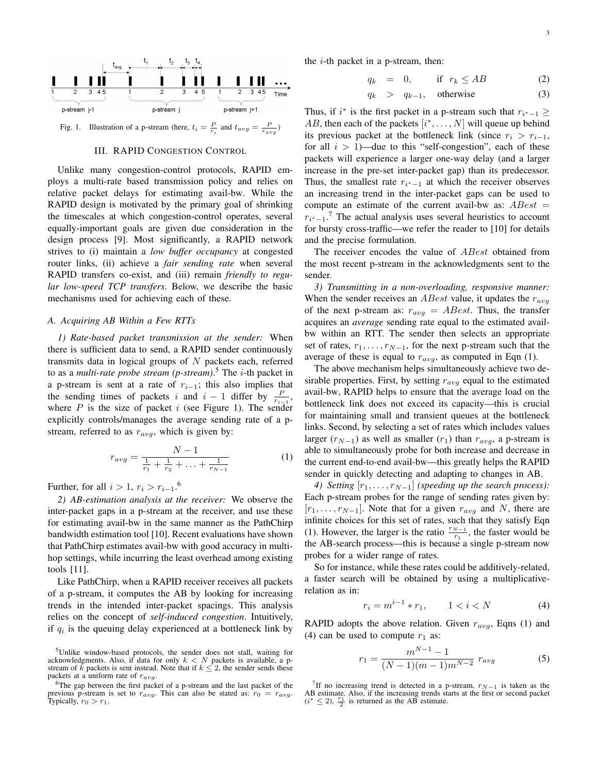

# III. RAPID CONGESTION CONTROL

Unlike many congestion-control protocols, RAPID employs a multi-rate based transmission policy and relies on relative packet delays for estimating avail-bw. While the RAPID design is motivated by the primary goal of shrinking the timescales at which congestion-control operates, several equally-important goals are given due consideration in the design process [9]. Most significantly, a RAPID network strives to (i) maintain a *low buffer occupancy* at congested router links, (ii) achieve a *fair sending rate* when several RAPID transfers co-exist, and (iii) remain *friendly to regular low-speed TCP transfers*. Below, we describe the basic mechanisms used for achieving each of these.

# *A. Acquiring AB Within a Few RTTs*

*1) Rate-based packet transmission at the sender:* When there is sufficient data to send, a RAPID sender continuously transmits data in logical groups of  $N$  packets each, referred to as a *multi-rate probe stream (p-stream)*. <sup>5</sup> The i-th packet in a p-stream is sent at a rate of  $r_{i-1}$ ; this also implies that the sending times of packets i and  $i - 1$  differ by  $\frac{P}{r_{i-1}}$ , where  $P$  is the size of packet  $i$  (see Figure 1). The sender explicitly controls/manages the average sending rate of a pstream, referred to as  $r_{avg}$ , which is given by:

$$
r_{avg} = \frac{N-1}{\frac{1}{r_1} + \frac{1}{r_2} + \ldots + \frac{1}{r_{N-1}}}
$$
 (1)

Further, for all  $i > 1$ ,  $r_i > r_{i-1}$ .<sup>6</sup>

*2) AB-estimation analysis at the receiver:* We observe the inter-packet gaps in a p-stream at the receiver, and use these for estimating avail-bw in the same manner as the PathChirp bandwidth estimation tool [10]. Recent evaluations have shown that PathChirp estimates avail-bw with good accuracy in multihop settings, while incurring the least overhead among existing tools [11].

Like PathChirp, when a RAPID receiver receives all packets of a p-stream, it computes the AB by looking for increasing trends in the intended inter-packet spacings. This analysis relies on the concept of *self-induced congestion*. Intuitively, if  $q_i$  is the queuing delay experienced at a bottleneck link by the  $i$ -th packet in a p-stream, then:

$$
q_k = 0, \quad \text{if } r_k \le AB \tag{2}
$$

$$
q_k > q_{k-1}, \quad \text{otherwise} \tag{3}
$$

Thus, if  $i^*$  is the first packet in a p-stream such that  $r_{i^*-1} \geq$ AB, then each of the packets  $[i^*, \dots, N]$  will queue up behind its previous packet at the bottleneck link (since  $r_i > r_{i-1}$ , for all  $i > 1$ )—due to this "self-congestion", each of these packets will experience a larger one-way delay (and a larger increase in the pre-set inter-packet gap) than its predecessor. Thus, the smallest rate  $r_{i^*-1}$  at which the receiver observes an increasing trend in the inter-packet gaps can be used to compute an estimate of the current avail-bw as:  $ABest =$  $r_{i^*-1}$ .<sup>7</sup> The actual analysis uses several heuristics to account for bursty cross-traffic—we refer the reader to [10] for details and the precise formulation.

The receiver encodes the value of *ABest* obtained from the most recent p-stream in the acknowledgments sent to the sender.

*3) Transmitting in a non-overloading, responsive manner:* When the sender receives an *ABest* value, it updates the  $r_{avg}$ of the next p-stream as:  $r_{avg} = ABest$ . Thus, the transfer acquires an *average* sending rate equal to the estimated availbw within an RTT. The sender then selects an appropriate set of rates,  $r_1, \ldots, r_{N-1}$ , for the next p-stream such that the average of these is equal to  $r_{avg}$ , as computed in Eqn (1).

The above mechanism helps simultaneously achieve two desirable properties. First, by setting  $r_{avg}$  equal to the estimated avail-bw, RAPID helps to ensure that the average load on the bottleneck link does not exceed its capacity—this is crucial for maintaining small and transient queues at the bottleneck links. Second, by selecting a set of rates which includes values larger ( $r_{N-1}$ ) as well as smaller ( $r_1$ ) than  $r_{avg}$ , a p-stream is able to simultaneously probe for both increase and decrease in the current end-to-end avail-bw—this greatly helps the RAPID sender in quickly detecting and adapting to changes in AB.

*4)* Setting  $[r_1, \ldots, r_{N-1}]$  *(speeding up the search process):* Each p-stream probes for the range of sending rates given by:  $[r_1, \ldots, r_{N-1}]$ . Note that for a given  $r_{avg}$  and N, there are infinite choices for this set of rates, such that they satisfy Eqn (1). However, the larger is the ratio  $\frac{r_{N-1}}{r_1}$ , the faster would be the AB-search process—this is because a single p-stream now probes for a wider range of rates.

So for instance, while these rates could be additively-related, a faster search will be obtained by using a multiplicativerelation as in:

$$
r_i = m^{i-1} * r_1, \qquad 1 < i < N \tag{4}
$$

RAPID adopts the above relation. Given  $r_{avg}$ , Eqns (1) and (4) can be used to compute  $r_1$  as:

$$
r_1 = \frac{m^{N-1} - 1}{(N-1)(m-1)m^{N-2}} r_{avg}
$$
 (5)

<sup>7</sup>If no increasing trend is detected in a p-stream,  $r_{N-1}$  is taken as the AB estimate. Also, if the increasing trends starts at the first or second packet  $(i^* \leq 2)$ ,  $\frac{r_1}{2}$  is returned as the AB estimate.

<sup>5</sup>Unlike window-based protocols, the sender does not stall, waiting for acknowledgments. Also, if data for only  $k < N$  packets is available, a p-stream of k packets is sent instead. Note that if  $k \leq 2$ , the sender sends these packets at a uniform rate of  $r_{avg}$ .

<sup>&</sup>lt;sup>6</sup>The gap between the first packet of a p-stream and the last packet of the previous p-stream is set to  $r_{avg}$ . This can also be stated as:  $r_0 = r_{avg}$ . Typically,  $r_0 > r_1$ .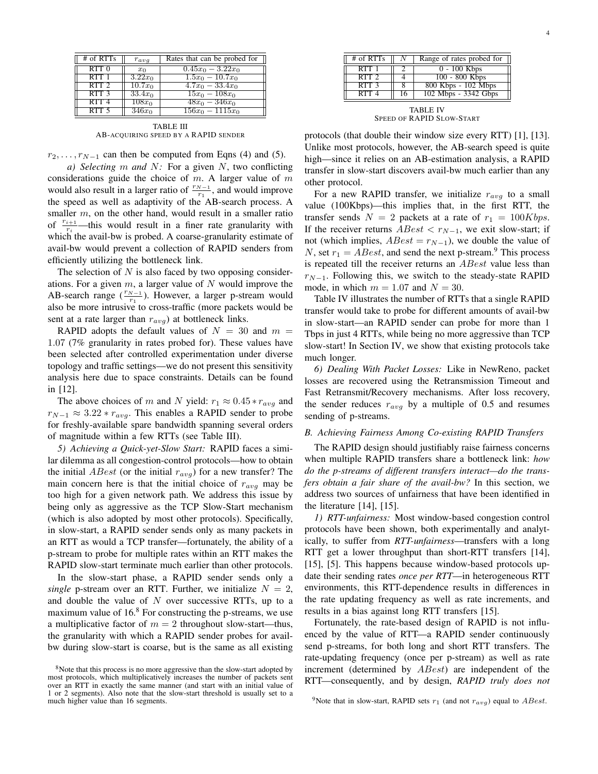| # of RTTs        | $r_{avg}$            | Rates that can be probed for |
|------------------|----------------------|------------------------------|
| $RTT$ $0$        | $x_0$                | $0.45x_0 - 3.22x_0$          |
| RTT1             | $3.22x_0$            | $1.5x_0 - 10.7x_0$           |
| $RTT$ 2          | $\overline{10.7x_0}$ | $4.7x_0 - 33.4x_0$           |
| RTT <sub>3</sub> | $33.4x_0$            | $15x_0 - 108x_0$             |
| RTT <sub>4</sub> | $\overline{108x_0}$  | $\sqrt{48x_0-346x_0}$        |
| RTT <sub>5</sub> | $346x_0$             | $156x_0 - 1115x_0$           |

TABLE III AB-ACQUIRING SPEED BY A RAPID SENDER

 $r_2, \ldots, r_{N-1}$  can then be computed from Eqns (4) and (5).

*a) Selecting* m *and* N*:* For a given N, two conflicting considerations guide the choice of  $m$ . A larger value of  $m$ would also result in a larger ratio of  $\frac{r_{N-1}}{r_1}$ , and would improve the speed as well as adaptivity of the AB-search process. A smaller m, on the other hand, would result in a smaller ratio of  $\frac{r_{i+1}}{r_i}$ —this would result in a finer rate granularity with which the avail-bw is probed. A coarse-granularity estimate of avail-bw would prevent a collection of RAPID senders from efficiently utilizing the bottleneck link.

The selection of  $N$  is also faced by two opposing considerations. For a given  $m$ , a larger value of  $N$  would improve the AB-search range  $(\frac{r_{N-1}}{r_1})$ . However, a larger p-stream would also be more intrusive to cross-traffic (more packets would be sent at a rate larger than  $r_{avg}$ ) at bottleneck links.

RAPID adopts the default values of  $N = 30$  and  $m =$ 1.07 (7% granularity in rates probed for). These values have been selected after controlled experimentation under diverse topology and traffic settings—we do not present this sensitivity analysis here due to space constraints. Details can be found in [12].

The above choices of m and N yield:  $r_1 \approx 0.45 * r_{avg}$  and  $r_{N-1} \approx 3.22 \cdot r_{avg}$ . This enables a RAPID sender to probe for freshly-available spare bandwidth spanning several orders of magnitude within a few RTTs (see Table III).

*5) Achieving a Quick-yet-Slow Start:* RAPID faces a similar dilemma as all congestion-control protocols—how to obtain the initial  $ABest$  (or the initial  $r_{avg}$ ) for a new transfer? The main concern here is that the initial choice of  $r_{avg}$  may be too high for a given network path. We address this issue by being only as aggressive as the TCP Slow-Start mechanism (which is also adopted by most other protocols). Specifically, in slow-start, a RAPID sender sends only as many packets in an RTT as would a TCP transfer—fortunately, the ability of a p-stream to probe for multiple rates within an RTT makes the RAPID slow-start terminate much earlier than other protocols.

In the slow-start phase, a RAPID sender sends only a *single* p-stream over an RTT. Further, we initialize  $N = 2$ , and double the value of  $N$  over successive RTTs, up to a maximum value of  $16<sup>8</sup>$  For constructing the p-streams, we use a multiplicative factor of  $m = 2$  throughout slow-start—thus, the granularity with which a RAPID sender probes for availbw during slow-start is coarse, but is the same as all existing

| # of RTTs | Range of rates probed for |
|-----------|---------------------------|
| $RTT$ 1   | $0 - 100$ Kbps            |
| $RTT$ 2   | 100 - 800 Kbps            |
| $RTT$ 3   | 800 Kbps - 102 Mbps       |
| $RTT$ .   | 102 Mbps - 3342 Gbps      |

TABLE IV SPEED OF RAPID SLOW-START

protocols (that double their window size every RTT) [1], [13]. Unlike most protocols, however, the AB-search speed is quite high—since it relies on an AB-estimation analysis, a RAPID transfer in slow-start discovers avail-bw much earlier than any other protocol.

For a new RAPID transfer, we initialize  $r_{avg}$  to a small value (100Kbps)—this implies that, in the first RTT, the transfer sends  $N = 2$  packets at a rate of  $r_1 = 100Kbps$ . If the receiver returns  $ABest < r_{N-1}$ , we exit slow-start; if not (which implies,  $ABest = r_{N-1}$ ), we double the value of N, set  $r_1 = ABest$ , and send the next p-stream.<sup>9</sup> This process is repeated till the receiver returns an *ABest* value less than  $r_{N-1}$ . Following this, we switch to the steady-state RAPID mode, in which  $m = 1.07$  and  $N = 30$ .

Table IV illustrates the number of RTTs that a single RAPID transfer would take to probe for different amounts of avail-bw in slow-start—an RAPID sender can probe for more than 1 Tbps in just 4 RTTs, while being no more aggressive than TCP slow-start! In Section IV, we show that existing protocols take much longer.

*6) Dealing With Packet Losses:* Like in NewReno, packet losses are recovered using the Retransmission Timeout and Fast Retransmit/Recovery mechanisms. After loss recovery, the sender reduces  $r_{avg}$  by a multiple of 0.5 and resumes sending of p-streams.

#### *B. Achieving Fairness Among Co-existing RAPID Transfers*

The RAPID design should justifiably raise fairness concerns when multiple RAPID transfers share a bottleneck link: *how do the p-streams of different transfers interact—do the transfers obtain a fair share of the avail-bw?* In this section, we address two sources of unfairness that have been identified in the literature  $[14]$ ,  $[15]$ .

*1) RTT-unfairness:* Most window-based congestion control protocols have been shown, both experimentally and analytically, to suffer from *RTT-unfairness*—transfers with a long RTT get a lower throughput than short-RTT transfers [14], [15], [5]. This happens because window-based protocols update their sending rates *once per RTT*—in heterogeneous RTT environments, this RTT-dependence results in differences in the rate updating frequency as well as rate increments, and results in a bias against long RTT transfers [15].

Fortunately, the rate-based design of RAPID is not influenced by the value of RTT—a RAPID sender continuously send p-streams, for both long and short RTT transfers. The rate-updating frequency (once per p-stream) as well as rate increment (determined by *ABest*) are independent of the RTT—consequently, and by design, *RAPID truly does not*

<sup>&</sup>lt;sup>8</sup>Note that this process is no more aggressive than the slow-start adopted by most protocols, which multiplicatively increases the number of packets sent over an RTT in exactly the same manner (and start with an initial value of 1 or 2 segments). Also note that the slow-start threshold is usually set to a much higher value than 16 segments.

<sup>&</sup>lt;sup>9</sup>Note that in slow-start, RAPID sets  $r_1$  (and not  $r_{avg}$ ) equal to *ABest*.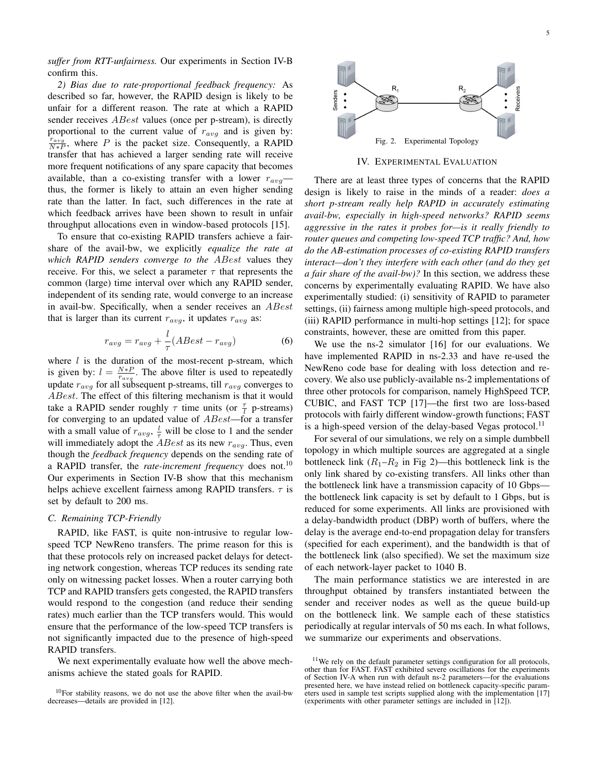*suffer from RTT-unfairness.* Our experiments in Section IV-B confirm this.

*2) Bias due to rate-proportional feedback frequency:* As described so far, however, the RAPID design is likely to be unfair for a different reason. The rate at which a RAPID sender receives *ABest* values (once per p-stream), is directly proportional to the current value of  $r_{avg}$  and is given by:  $\frac{r_{avg}}{N*P}$ , where P is the packet size. Consequently, a RAPID transfer that has achieved a larger sending rate will receive more frequent notifications of any spare capacity that becomes available, than a co-existing transfer with a lower  $r_{avg}$  thus, the former is likely to attain an even higher sending rate than the latter. In fact, such differences in the rate at which feedback arrives have been shown to result in unfair throughput allocations even in window-based protocols [15].

To ensure that co-existing RAPID transfers achieve a fairshare of the avail-bw, we explicitly *equalize the rate at which RAPID senders converge to the* ABest values they receive. For this, we select a parameter  $\tau$  that represents the common (large) time interval over which any RAPID sender, independent of its sending rate, would converge to an increase in avail-bw. Specifically, when a sender receives an ABest that is larger than its current  $r_{avg}$ , it updates  $r_{avg}$  as:

$$
r_{avg} = r_{avg} + \frac{l}{\tau}(ABest - r_{avg})
$$
\n(6)

where  $l$  is the duration of the most-recent p-stream, which is given by:  $l = \frac{N*P}{r_{avg}}$ . The above filter is used to repeatedly update  $r_{avg}$  for all subsequent p-streams, till  $r_{avg}$  converges to ABest. The effect of this filtering mechanism is that it would take a RAPID sender roughly  $\tau$  time units (or  $\frac{\tau}{l}$  p-streams) for converging to an updated value of *ABest*—for a transfer with a small value of  $r_{avg}$ ,  $\frac{l}{\tau}$  will be close to 1 and the sender will immediately adopt the *ABest* as its new  $r_{avg}$ . Thus, even though the *feedback frequency* depends on the sending rate of a RAPID transfer, the *rate-increment frequency* does not.<sup>10</sup> Our experiments in Section IV-B show that this mechanism helps achieve excellent fairness among RAPID transfers.  $\tau$  is set by default to 200 ms.

## *C. Remaining TCP-Friendly*

RAPID, like FAST, is quite non-intrusive to regular lowspeed TCP NewReno transfers. The prime reason for this is that these protocols rely on increased packet delays for detecting network congestion, whereas TCP reduces its sending rate only on witnessing packet losses. When a router carrying both TCP and RAPID transfers gets congested, the RAPID transfers would respond to the congestion (and reduce their sending rates) much earlier than the TCP transfers would. This would ensure that the performance of the low-speed TCP transfers is not significantly impacted due to the presence of high-speed RAPID transfers.

We next experimentally evaluate how well the above mechanisms achieve the stated goals for RAPID.



IV. EXPERIMENTAL EVALUATION

There are at least three types of concerns that the RAPID design is likely to raise in the minds of a reader: *does a short p-stream really help RAPID in accurately estimating avail-bw, especially in high-speed networks? RAPID seems aggressive in the rates it probes for—is it really friendly to router queues and competing low-speed TCP traffic? And, how do the AB-estimation processes of co-existing RAPID transfers interact—don't they interfere with each other (and do they get a fair share of the avail-bw)?* In this section, we address these concerns by experimentally evaluating RAPID. We have also experimentally studied: (i) sensitivity of RAPID to parameter settings, (ii) fairness among multiple high-speed protocols, and (iii) RAPID performance in multi-hop settings [12]; for space constraints, however, these are omitted from this paper.

We use the ns-2 simulator [16] for our evaluations. We have implemented RAPID in ns-2.33 and have re-used the NewReno code base for dealing with loss detection and recovery. We also use publicly-available ns-2 implementations of three other protocols for comparison, namely HighSpeed TCP, CUBIC, and FAST TCP [17]—the first two are loss-based protocols with fairly different window-growth functions; FAST is a high-speed version of the delay-based Vegas protocol.<sup>11</sup>

For several of our simulations, we rely on a simple dumbbell topology in which multiple sources are aggregated at a single bottleneck link  $(R_1-R_2$  in Fig 2)—this bottleneck link is the only link shared by co-existing transfers. All links other than the bottleneck link have a transmission capacity of 10 Gbps the bottleneck link capacity is set by default to 1 Gbps, but is reduced for some experiments. All links are provisioned with a delay-bandwidth product (DBP) worth of buffers, where the delay is the average end-to-end propagation delay for transfers (specified for each experiment), and the bandwidth is that of the bottleneck link (also specified). We set the maximum size of each network-layer packet to 1040 B.

The main performance statistics we are interested in are throughput obtained by transfers instantiated between the sender and receiver nodes as well as the queue build-up on the bottleneck link. We sample each of these statistics periodically at regular intervals of 50 ms each. In what follows, we summarize our experiments and observations.

<sup>10</sup>For stability reasons, we do not use the above filter when the avail-bw decreases—details are provided in [12].

<sup>11</sup>We rely on the default parameter settings configuration for all protocols, other than for FAST. FAST exhibited severe oscillations for the experiments of Section IV-A when run with default ns-2 parameters—for the evaluations presented here, we have instead relied on bottleneck capacity-specific parameters used in sample test scripts supplied along with the implementation [17] (experiments with other parameter settings are included in [12]).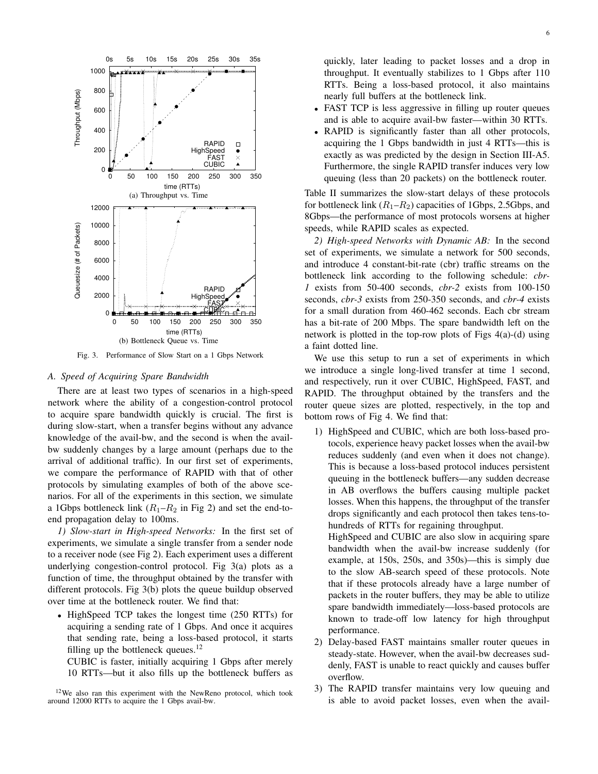

Fig. 3. Performance of Slow Start on a 1 Gbps Network

# *A. Speed of Acquiring Spare Bandwidth*

There are at least two types of scenarios in a high-speed network where the ability of a congestion-control protocol to acquire spare bandwidth quickly is crucial. The first is during slow-start, when a transfer begins without any advance knowledge of the avail-bw, and the second is when the availbw suddenly changes by a large amount (perhaps due to the arrival of additional traffic). In our first set of experiments, we compare the performance of RAPID with that of other protocols by simulating examples of both of the above scenarios. For all of the experiments in this section, we simulate a 1Gbps bottleneck link  $(R_1-R_2)$  in Fig 2) and set the end-toend propagation delay to 100ms.

*1) Slow-start in High-speed Networks:* In the first set of experiments, we simulate a single transfer from a sender node to a receiver node (see Fig 2). Each experiment uses a different underlying congestion-control protocol. Fig 3(a) plots as a function of time, the throughput obtained by the transfer with different protocols. Fig 3(b) plots the queue buildup observed over time at the bottleneck router. We find that:

• HighSpeed TCP takes the longest time (250 RTTs) for acquiring a sending rate of 1 Gbps. And once it acquires that sending rate, being a loss-based protocol, it starts filling up the bottleneck queues. $12$ 

CUBIC is faster, initially acquiring 1 Gbps after merely 10 RTTs—but it also fills up the bottleneck buffers as

<sup>12</sup>We also ran this experiment with the NewReno protocol, which took around 12000 RTTs to acquire the 1 Gbps avail-bw.

quickly, later leading to packet losses and a drop in throughput. It eventually stabilizes to 1 Gbps after 110 RTTs. Being a loss-based protocol, it also maintains nearly full buffers at the bottleneck link.

- FAST TCP is less aggressive in filling up router queues and is able to acquire avail-bw faster—within 30 RTTs.
- RAPID is significantly faster than all other protocols, acquiring the 1 Gbps bandwidth in just 4 RTTs—this is exactly as was predicted by the design in Section III-A5. Furthermore, the single RAPID transfer induces very low queuing (less than 20 packets) on the bottleneck router.

Table II summarizes the slow-start delays of these protocols for bottleneck link  $(R_1-R_2)$  capacities of 1Gbps, 2.5Gbps, and 8Gbps—the performance of most protocols worsens at higher speeds, while RAPID scales as expected.

*2) High-speed Networks with Dynamic AB:* In the second set of experiments, we simulate a network for 500 seconds, and introduce 4 constant-bit-rate (cbr) traffic streams on the bottleneck link according to the following schedule: *cbr-1* exists from 50-400 seconds, *cbr-2* exists from 100-150 seconds, *cbr-3* exists from 250-350 seconds, and *cbr-4* exists for a small duration from 460-462 seconds. Each cbr stream has a bit-rate of 200 Mbps. The spare bandwidth left on the network is plotted in the top-row plots of Figs 4(a)-(d) using a faint dotted line.

We use this setup to run a set of experiments in which we introduce a single long-lived transfer at time 1 second, and respectively, run it over CUBIC, HighSpeed, FAST, and RAPID. The throughput obtained by the transfers and the router queue sizes are plotted, respectively, in the top and bottom rows of Fig 4. We find that:

1) HighSpeed and CUBIC, which are both loss-based protocols, experience heavy packet losses when the avail-bw reduces suddenly (and even when it does not change). This is because a loss-based protocol induces persistent queuing in the bottleneck buffers—any sudden decrease in AB overflows the buffers causing multiple packet losses. When this happens, the throughput of the transfer drops significantly and each protocol then takes tens-tohundreds of RTTs for regaining throughput.

HighSpeed and CUBIC are also slow in acquiring spare bandwidth when the avail-bw increase suddenly (for example, at 150s, 250s, and 350s)—this is simply due to the slow AB-search speed of these protocols. Note that if these protocols already have a large number of packets in the router buffers, they may be able to utilize spare bandwidth immediately—loss-based protocols are known to trade-off low latency for high throughput performance.

- 2) Delay-based FAST maintains smaller router queues in steady-state. However, when the avail-bw decreases suddenly, FAST is unable to react quickly and causes buffer overflow.
- 3) The RAPID transfer maintains very low queuing and is able to avoid packet losses, even when the avail-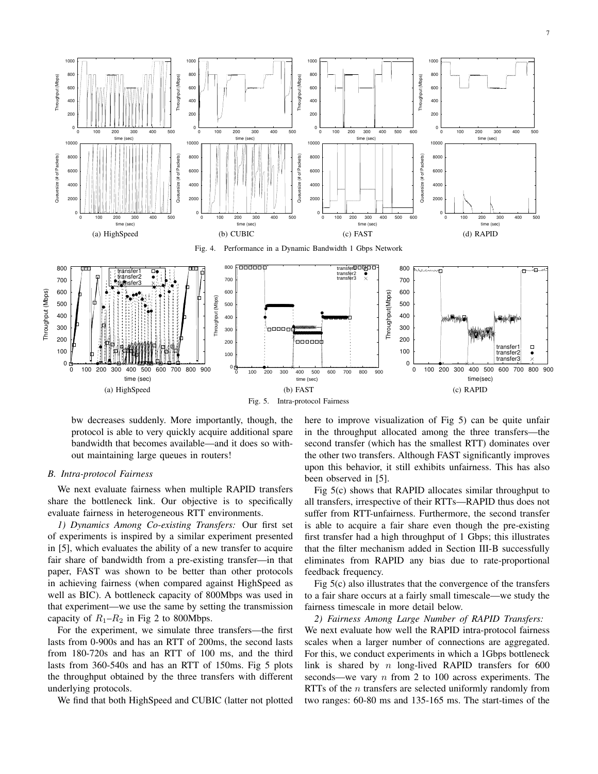

Fig. 5. Intra-protocol Fairness

bw decreases suddenly. More importantly, though, the protocol is able to very quickly acquire additional spare bandwidth that becomes available—and it does so without maintaining large queues in routers!

# *B. Intra-protocol Fairness*

We next evaluate fairness when multiple RAPID transfers share the bottleneck link. Our objective is to specifically evaluate fairness in heterogeneous RTT environments.

*1) Dynamics Among Co-existing Transfers:* Our first set of experiments is inspired by a similar experiment presented in [5], which evaluates the ability of a new transfer to acquire fair share of bandwidth from a pre-existing transfer—in that paper, FAST was shown to be better than other protocols in achieving fairness (when compared against HighSpeed as well as BIC). A bottleneck capacity of 800Mbps was used in that experiment—we use the same by setting the transmission capacity of  $R_1-R_2$  in Fig 2 to 800Mbps.

For the experiment, we simulate three transfers—the first lasts from 0-900s and has an RTT of 200ms, the second lasts from 180-720s and has an RTT of 100 ms, and the third lasts from 360-540s and has an RTT of 150ms. Fig 5 plots the throughput obtained by the three transfers with different underlying protocols.

We find that both HighSpeed and CUBIC (latter not plotted

here to improve visualization of Fig 5) can be quite unfair in the throughput allocated among the three transfers—the second transfer (which has the smallest RTT) dominates over the other two transfers. Although FAST significantly improves upon this behavior, it still exhibits unfairness. This has also been observed in [5].

Fig 5(c) shows that RAPID allocates similar throughput to all transfers, irrespective of their RTTs—RAPID thus does not suffer from RTT-unfairness. Furthermore, the second transfer is able to acquire a fair share even though the pre-existing first transfer had a high throughput of 1 Gbps; this illustrates that the filter mechanism added in Section III-B successfully eliminates from RAPID any bias due to rate-proportional feedback frequency.

Fig 5(c) also illustrates that the convergence of the transfers to a fair share occurs at a fairly small timescale—we study the fairness timescale in more detail below.

*2) Fairness Among Large Number of RAPID Transfers:* We next evaluate how well the RAPID intra-protocol fairness scales when a larger number of connections are aggregated. For this, we conduct experiments in which a 1Gbps bottleneck link is shared by  $n$  long-lived RAPID transfers for 600 seconds—we vary  $n$  from 2 to 100 across experiments. The RTTs of the  $n$  transfers are selected uniformly randomly from two ranges: 60-80 ms and 135-165 ms. The start-times of the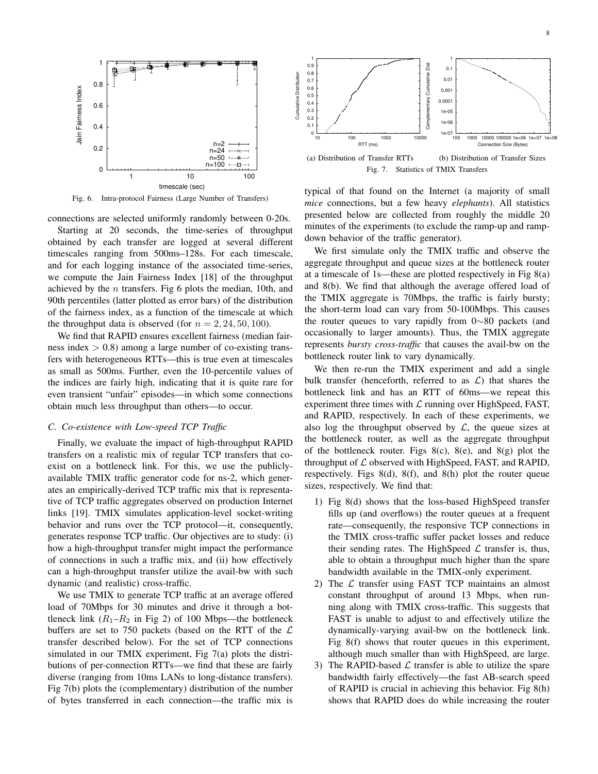

Fig. 6. Intra-protocol Fairness (Large Number of Transfers)

connections are selected uniformly randomly between 0-20s.

Starting at 20 seconds, the time-series of throughput obtained by each transfer are logged at several different timescales ranging from 500ms–128s. For each timescale, and for each logging instance of the associated time-series, we compute the Jain Fairness Index [18] of the throughput achieved by the  $n$  transfers. Fig 6 plots the median, 10th, and 90th percentiles (latter plotted as error bars) of the distribution of the fairness index, as a function of the timescale at which the throughput data is observed (for  $n = 2, 24, 50, 100$ ).

We find that RAPID ensures excellent fairness (median fairness index  $> 0.8$ ) among a large number of co-existing transfers with heterogeneous RTTs—this is true even at timescales as small as 500ms. Further, even the 10-percentile values of the indices are fairly high, indicating that it is quite rare for even transient "unfair" episodes—in which some connections obtain much less throughput than others—to occur.

## *C. Co-existence with Low-speed TCP Traffic*

Finally, we evaluate the impact of high-throughput RAPID transfers on a realistic mix of regular TCP transfers that coexist on a bottleneck link. For this, we use the publiclyavailable TMIX traffic generator code for ns-2, which generates an empirically-derived TCP traffic mix that is representative of TCP traffic aggregates observed on production Internet links [19]. TMIX simulates application-level socket-writing behavior and runs over the TCP protocol—it, consequently, generates response TCP traffic. Our objectives are to study: (i) how a high-throughput transfer might impact the performance of connections in such a traffic mix, and (ii) how effectively can a high-throughput transfer utilize the avail-bw with such dynamic (and realistic) cross-traffic.

We use TMIX to generate TCP traffic at an average offered load of 70Mbps for 30 minutes and drive it through a bottleneck link  $(R_1-R_2$  in Fig 2) of 100 Mbps—the bottleneck buffers are set to 750 packets (based on the RTT of the  $\mathcal L$ transfer described below). For the set of TCP connections simulated in our TMIX experiment, Fig 7(a) plots the distributions of per-connection RTTs—we find that these are fairly diverse (ranging from 10ms LANs to long-distance transfers). Fig 7(b) plots the (complementary) distribution of the number of bytes transferred in each connection—the traffic mix is



Fig. 7. Statistics of TMIX Transfers

typical of that found on the Internet (a majority of small *mice* connections, but a few heavy *elephants*). All statistics presented below are collected from roughly the middle 20 minutes of the experiments (to exclude the ramp-up and rampdown behavior of the traffic generator).

We first simulate only the TMIX traffic and observe the aggregate throughput and queue sizes at the bottleneck router at a timescale of 1s—these are plotted respectively in Fig 8(a) and 8(b). We find that although the average offered load of the TMIX aggregate is 70Mbps, the traffic is fairly bursty; the short-term load can vary from 50-100Mbps. This causes the router queues to vary rapidly from 0∼80 packets (and occasionally to larger amounts). Thus, the TMIX aggregate represents *bursty cross-traffic* that causes the avail-bw on the bottleneck router link to vary dynamically.

We then re-run the TMIX experiment and add a single bulk transfer (henceforth, referred to as  $\mathcal{L}$ ) that shares the bottleneck link and has an RTT of 60ms—we repeat this experiment three times with  $\mathcal L$  running over HighSpeed, FAST, and RAPID, respectively. In each of these experiments, we also log the throughput observed by  $\mathcal{L}$ , the queue sizes at the bottleneck router, as well as the aggregate throughput of the bottleneck router. Figs  $8(c)$ ,  $8(e)$ , and  $8(g)$  plot the throughput of  $\mathcal L$  observed with HighSpeed, FAST, and RAPID, respectively. Figs 8(d), 8(f), and 8(h) plot the router queue sizes, respectively. We find that:

- 1) Fig 8(d) shows that the loss-based HighSpeed transfer fills up (and overflows) the router queues at a frequent rate—consequently, the responsive TCP connections in the TMIX cross-traffic suffer packet losses and reduce their sending rates. The HighSpeed  $\mathcal L$  transfer is, thus, able to obtain a throughput much higher than the spare bandwidth available in the TMIX-only experiment.
- 2) The  $\mathcal L$  transfer using FAST TCP maintains an almost constant throughput of around 13 Mbps, when running along with TMIX cross-traffic. This suggests that FAST is unable to adjust to and effectively utilize the dynamically-varying avail-bw on the bottleneck link. Fig 8(f) shows that router queues in this experiment, although much smaller than with HighSpeed, are large.
- 3) The RAPID-based  $\mathcal L$  transfer is able to utilize the spare bandwidth fairly effectively—the fast AB-search speed of RAPID is crucial in achieving this behavior. Fig 8(h) shows that RAPID does do while increasing the router